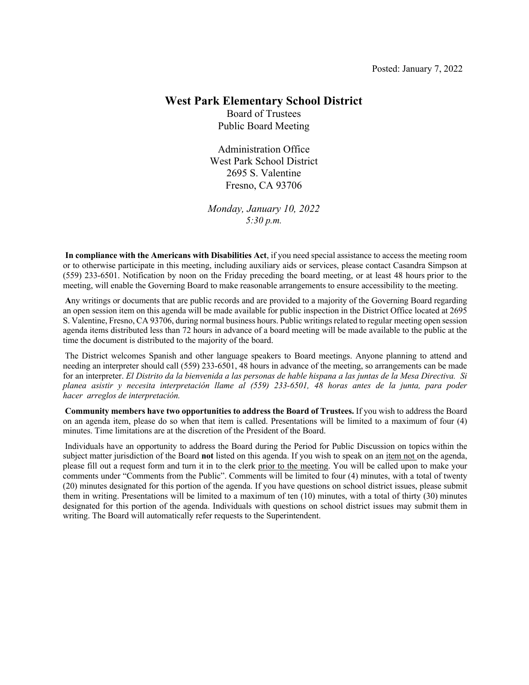#### **West Park Elementary School District**

Board of Trustees Public Board Meeting

Administration Office West Park School District 2695 S. Valentine Fresno, CA 93706

*Monday, January 10, 2022 5:30 p.m.*

**In compliance with the Americans with Disabilities Act**, if you need special assistance to access the meeting room or to otherwise participate in this meeting, including auxiliary aids or services, please contact Casandra Simpson at (559) 233-6501. Notification by noon on the Friday preceding the board meeting, or at least 48 hours prior to the meeting, will enable the Governing Board to make reasonable arrangements to ensure accessibility to the meeting.

**A**ny writings or documents that are public records and are provided to a majority of the Governing Board regarding an open session item on this agenda will be made available for public inspection in the District Office located at 2695 S. Valentine, Fresno, CA 93706, during normal business hours. Public writings related to regular meeting open session agenda items distributed less than 72 hours in advance of a board meeting will be made available to the public at the time the document is distributed to the majority of the board.

The District welcomes Spanish and other language speakers to Board meetings. Anyone planning to attend and needing an interpreter should call (559) 233-6501, 48 hours in advance of the meeting, so arrangements can be made for an interpreter. *El Distrito da la bienvenida a las personas de hable hispana a las juntas de la Mesa Directiva. Si planea asistir y necesita interpretación llame al (559) 233-6501, 48 horas antes de la junta, para poder hacer arreglos de interpretación.*

**Community members have two opportunities to address the Board of Trustees.** If you wish to address the Board on an agenda item, please do so when that item is called. Presentations will be limited to a maximum of four (4) minutes. Time limitations are at the discretion of the President of the Board.

Individuals have an opportunity to address the Board during the Period for Public Discussion on topics within the subject matter jurisdiction of the Board **not** listed on this agenda. If you wish to speak on an item not on the agenda, please fill out a request form and turn it in to the clerk prior to the meeting. You will be called upon to make your comments under "Comments from the Public". Comments will be limited to four (4) minutes, with a total of twenty (20) minutes designated for this portion of the agenda. If you have questions on school district issues, please submit them in writing. Presentations will be limited to a maximum of ten (10) minutes, with a total of thirty (30) minutes designated for this portion of the agenda. Individuals with questions on school district issues may submit them in writing. The Board will automatically refer requests to the Superintendent.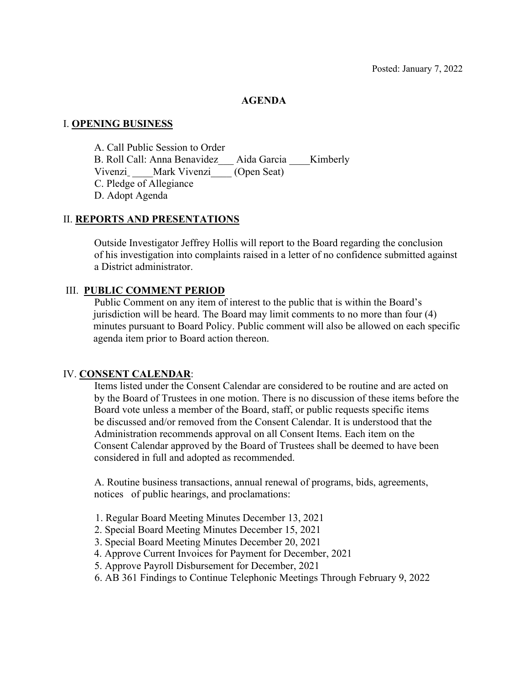### **AGENDA**

### I. **OPENING BUSINESS**

A. Call Public Session to Order B. Roll Call: Anna Benavidez Aida Garcia Kimberly Vivenzi Mark Vivenzi (Open Seat) C. Pledge of Allegiance D. Adopt Agenda

### II. **REPORTS AND PRESENTATIONS**

Outside Investigator Jeffrey Hollis will report to the Board regarding the conclusion of his investigation into complaints raised in a letter of no confidence submitted against a District administrator.

### III. **PUBLIC COMMENT PERIOD**

Public Comment on any item of interest to the public that is within the Board's jurisdiction will be heard. The Board may limit comments to no more than four (4) minutes pursuant to Board Policy. Public comment will also be allowed on each specific agenda item prior to Board action thereon.

### IV. **CONSENT CALENDAR**:

Items listed under the Consent Calendar are considered to be routine and are acted on by the Board of Trustees in one motion. There is no discussion of these items before the Board vote unless a member of the Board, staff, or public requests specific items be discussed and/or removed from the Consent Calendar. It is understood that the Administration recommends approval on all Consent Items. Each item on the Consent Calendar approved by the Board of Trustees shall be deemed to have been considered in full and adopted as recommended.

A. Routine business transactions, annual renewal of programs, bids, agreements, notices of public hearings, and proclamations:

- 1. Regular Board Meeting Minutes December 13, 2021
- 2. Special Board Meeting Minutes December 15, 2021
- 3. Special Board Meeting Minutes December 20, 2021
- 4. Approve Current Invoices for Payment for December, 2021
- 5. Approve Payroll Disbursement for December, 2021
- 6. AB 361 Findings to Continue Telephonic Meetings Through February 9, 2022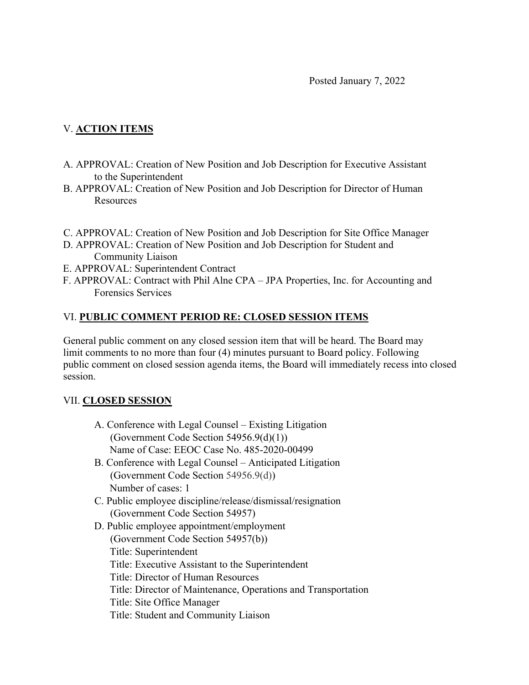## V. **ACTION ITEMS**

- A. APPROVAL: Creation of New Position and Job Description for Executive Assistant to the Superintendent
- B. APPROVAL: Creation of New Position and Job Description for Director of Human Resources
- C. APPROVAL: Creation of New Position and Job Description for Site Office Manager
- D. APPROVAL: Creation of New Position and Job Description for Student and Community Liaison
- E. APPROVAL: Superintendent Contract
- F. APPROVAL: Contract with Phil Alne CPA JPA Properties, Inc. for Accounting and Forensics Services

### VI. **PUBLIC COMMENT PERIOD RE: CLOSED SESSION ITEMS**

General public comment on any closed session item that will be heard. The Board may limit comments to no more than four (4) minutes pursuant to Board policy. Following public comment on closed session agenda items, the Board will immediately recess into closed session.

### VII. **CLOSED SESSION**

- A. Conference with Legal Counsel Existing Litigation (Government Code Section 54956.9(d)(1)) Name of Case: EEOC Case No. 485-2020-00499
- B. Conference with Legal Counsel Anticipated Litigation (Government Code Section 54956.9(d)) Number of cases: 1
- C. Public employee discipline/release/dismissal/resignation (Government Code Section 54957)
- D. Public employee appointment/employment (Government Code Section 54957(b)) Title: Superintendent Title: Executive Assistant to the Superintendent Title: Director of Human Resources Title: Director of Maintenance, Operations and Transportation Title: Site Office Manager Title: Student and Community Liaison